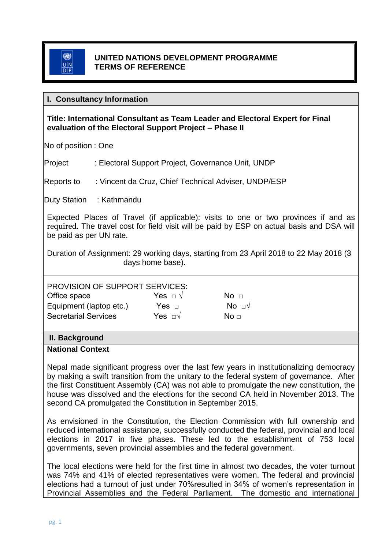### **UNITED NATIONS DEVELOPMENT PROGRAMME TERMS OF REFERENCE**

### **I. Consultancy Information**

## **Title: International Consultant as Team Leader and Electoral Expert for Final evaluation of the Electoral Support Project – Phase II**

No of position : One

Project : Electoral Support Project, Governance Unit, UNDP

Reports to : Vincent da Cruz, Chief Technical Adviser, UNDP/ESP

Duty Station : Kathmandu

Expected Places of Travel (if applicable): visits to one or two provinces if and as required. The travel cost for field visit will be paid by ESP on actual basis and DSA will be paid as per UN rate.

Duration of Assignment: 29 working days, starting from 23 April 2018 to 22 May 2018 (3 days home base).

| <b>PROVISION OF SUPPORT SERVICES:</b> |  |
|---------------------------------------|--|
|                                       |  |

| Office space                | Yes $\Box \lor$   | No <sub>1</sub> |
|-----------------------------|-------------------|-----------------|
| Equipment (laptop etc.)     | Yes $\sqcap$      | No ov           |
| <b>Secretarial Services</b> | Yes $\Box\forall$ | No $\sqcap$     |

# **II. Background**

#### **National Context**

Nepal made significant progress over the last few years in institutionalizing democracy by making a swift transition from the unitary to the federal system of governance. After the first Constituent Assembly (CA) was not able to promulgate the new constitution, the house was dissolved and the elections for the second CA held in November 2013. The second CA promulgated the Constitution in September 2015.

As envisioned in the Constitution, the Election Commission with full ownership and reduced international assistance, successfully conducted the federal, provincial and local elections in 2017 in five phases. These led to the establishment of 753 local governments, seven provincial assemblies and the federal government.

The local elections were held for the first time in almost two decades, the voter turnout was 74% and 41% of elected representatives were women. The federal and provincial elections had a turnout of just under 70%resulted in 34% of women's representation in Provincial Assemblies and the Federal Parliament. The domestic and international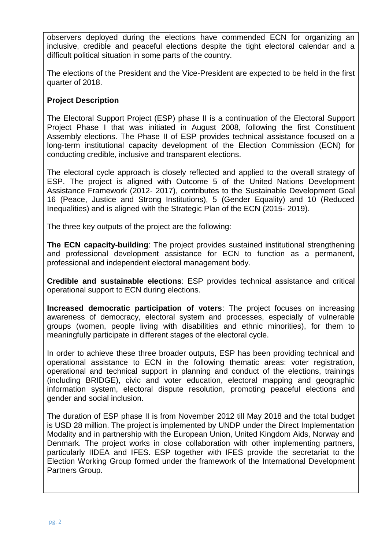observers deployed during the elections have commended ECN for organizing an inclusive, credible and peaceful elections despite the tight electoral calendar and a difficult political situation in some parts of the country.

The elections of the President and the Vice-President are expected to be held in the first quarter of 2018.

# **Project Description**

The Electoral Support Project (ESP) phase II is a continuation of the Electoral Support Project Phase I that was initiated in August 2008, following the first Constituent Assembly elections. The Phase II of ESP provides technical assistance focused on a long-term institutional capacity development of the Election Commission (ECN) for conducting credible, inclusive and transparent elections.

The electoral cycle approach is closely reflected and applied to the overall strategy of ESP. The project is aligned with Outcome 5 of the United Nations Development Assistance Framework (2012- 2017), contributes to the Sustainable Development Goal 16 (Peace, Justice and Strong Institutions), 5 (Gender Equality) and 10 (Reduced Inequalities) and is aligned with the Strategic Plan of the ECN (2015- 2019).

The three key outputs of the project are the following:

**The ECN capacity-building**: The project provides sustained institutional strengthening and professional development assistance for ECN to function as a permanent, professional and independent electoral management body.

**Credible and sustainable elections**: ESP provides technical assistance and critical operational support to ECN during elections.

**Increased democratic participation of voters**: The project focuses on increasing awareness of democracy, electoral system and processes, especially of vulnerable groups (women, people living with disabilities and ethnic minorities), for them to meaningfully participate in different stages of the electoral cycle.

In order to achieve these three broader outputs, ESP has been providing technical and operational assistance to ECN in the following thematic areas: voter registration, operational and technical support in planning and conduct of the elections, trainings (including BRIDGE), civic and voter education, electoral mapping and geographic information system, electoral dispute resolution, promoting peaceful elections and gender and social inclusion.

The duration of ESP phase II is from November 2012 till May 2018 and the total budget is USD 28 million. The project is implemented by UNDP under the Direct Implementation Modality and in partnership with the European Union, United Kingdom Aids, Norway and Denmark. The project works in close collaboration with other implementing partners, particularly IIDEA and IFES. ESP together with IFES provide the secretariat to the Election Working Group formed under the framework of the International Development Partners Group.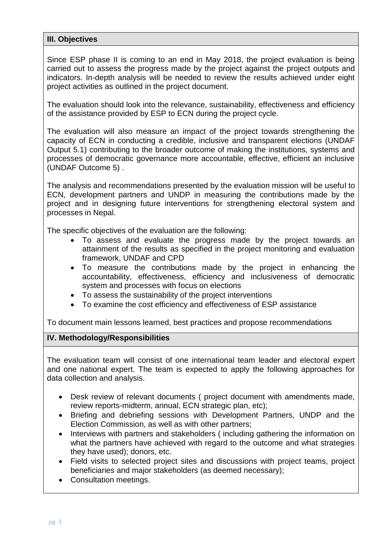## **III. Objectives**

Since ESP phase II is coming to an end in May 2018, the project evaluation is being carried out to assess the progress made by the project against the project outputs and indicators. In-depth analysis will be needed to review the results achieved under eight project activities as outlined in the project document.

The evaluation should look into the relevance, sustainability, effectiveness and efficiency of the assistance provided by ESP to ECN during the project cycle.

The evaluation will also measure an impact of the project towards strengthening the capacity of ECN in conducting a credible, inclusive and transparent elections (UNDAF Output 5.1) contributing to the broader outcome of making the institutions, systems and processes of democratic governance more accountable, effective, efficient an inclusive (UNDAF Outcome 5) .

The analysis and recommendations presented by the evaluation mission will be useful to ECN, development partners and UNDP in measuring the contributions made by the project and in designing future interventions for strengthening electoral system and processes in Nepal.

The specific objectives of the evaluation are the following:

- To assess and evaluate the progress made by the project towards an attainment of the results as specified in the project monitoring and evaluation framework, UNDAF and CPD
- To measure the contributions made by the project in enhancing the accountability, effectiveness, efficiency and inclusiveness of democratic system and processes with focus on elections
- To assess the sustainability of the project interventions
- To examine the cost efficiency and effectiveness of ESP assistance

To document main lessons learned, best practices and propose recommendations

#### **IV. Methodology/Responsibilities**

The evaluation team will consist of one international team leader and electoral expert and one national expert. The team is expected to apply the following approaches for data collection and analysis.

- Desk review of relevant documents ( project document with amendments made, review reports-midterm, annual, ECN strategic plan, etc);
- Briefing and debriefing sessions with Development Partners, UNDP and the Election Commission, as well as with other partners;
- Interviews with partners and stakeholders (including gathering the information on what the partners have achieved with regard to the outcome and what strategies they have used); donors, etc.
- Field visits to selected project sites and discussions with project teams, project beneficiaries and major stakeholders (as deemed necessary);
- Consultation meetings.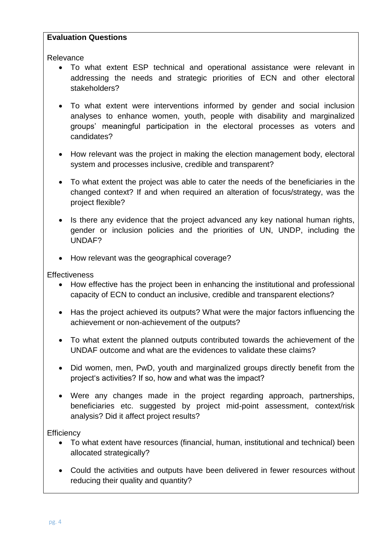#### **Evaluation Questions**

Relevance

- To what extent ESP technical and operational assistance were relevant in addressing the needs and strategic priorities of ECN and other electoral stakeholders?
- To what extent were interventions informed by gender and social inclusion analyses to enhance women, youth, people with disability and marginalized groups' meaningful participation in the electoral processes as voters and candidates?
- How relevant was the project in making the election management body, electoral system and processes inclusive, credible and transparent?
- To what extent the project was able to cater the needs of the beneficiaries in the changed context? If and when required an alteration of focus/strategy, was the project flexible?
- Is there any evidence that the project advanced any key national human rights, gender or inclusion policies and the priorities of UN, UNDP, including the UNDAF?
- How relevant was the geographical coverage?

### **Effectiveness**

- How effective has the project been in enhancing the institutional and professional capacity of ECN to conduct an inclusive, credible and transparent elections?
- Has the project achieved its outputs? What were the major factors influencing the achievement or non-achievement of the outputs?
- To what extent the planned outputs contributed towards the achievement of the UNDAF outcome and what are the evidences to validate these claims?
- Did women, men, PwD, youth and marginalized groups directly benefit from the project's activities? If so, how and what was the impact?
- Were any changes made in the project regarding approach, partnerships, beneficiaries etc. suggested by project mid-point assessment, context/risk analysis? Did it affect project results?

**Efficiency** 

- To what extent have resources (financial, human, institutional and technical) been allocated strategically?
- Could the activities and outputs have been delivered in fewer resources without reducing their quality and quantity?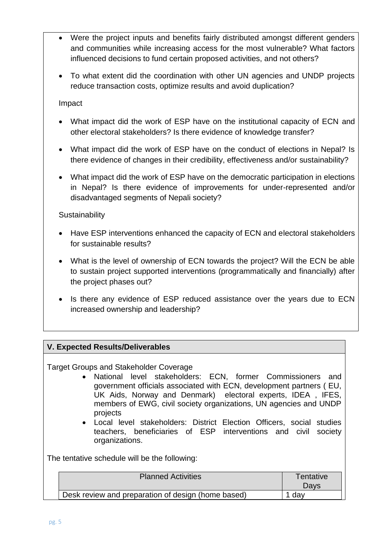- Were the project inputs and benefits fairly distributed amongst different genders and communities while increasing access for the most vulnerable? What factors influenced decisions to fund certain proposed activities, and not others?
- To what extent did the coordination with other UN agencies and UNDP projects reduce transaction costs, optimize results and avoid duplication?

## Impact

- What impact did the work of ESP have on the institutional capacity of ECN and other electoral stakeholders? Is there evidence of knowledge transfer?
- What impact did the work of ESP have on the conduct of elections in Nepal? Is there evidence of changes in their credibility, effectiveness and/or sustainability?
- What impact did the work of ESP have on the democratic participation in elections in Nepal? Is there evidence of improvements for under-represented and/or disadvantaged segments of Nepali society?

## **Sustainability**

- Have ESP interventions enhanced the capacity of ECN and electoral stakeholders for sustainable results?
- What is the level of ownership of ECN towards the project? Will the ECN be able to sustain project supported interventions (programmatically and financially) after the project phases out?
- Is there any evidence of ESP reduced assistance over the years due to ECN increased ownership and leadership?

# **V. Expected Results/Deliverables**

Target Groups and Stakeholder Coverage

- National level stakeholders: ECN, former Commissioners and government officials associated with ECN, development partners ( EU, UK Aids, Norway and Denmark) electoral experts, IDEA , IFES, members of EWG, civil society organizations, UN agencies and UNDP projects
- Local level stakeholders: District Election Officers, social studies teachers, beneficiaries of ESP interventions and civil society organizations.

The tentative schedule will be the following:

| <b>Planned Activities</b>                          | Tentativel<br>Days |
|----------------------------------------------------|--------------------|
| Desk review and preparation of design (home based) | dav                |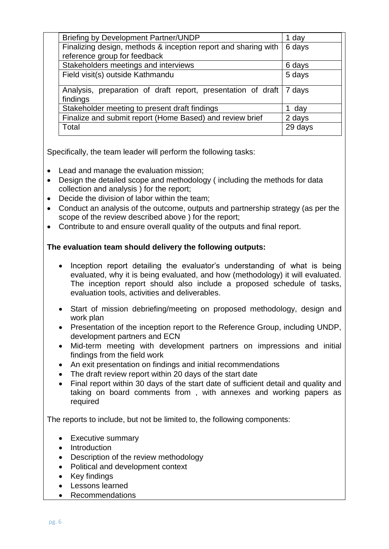| <b>Briefing by Development Partner/UNDP</b>                                       | 1 day   |
|-----------------------------------------------------------------------------------|---------|
| Finalizing design, methods & inception report and sharing with                    | 6 days  |
| reference group for feedback                                                      |         |
| Stakeholders meetings and interviews                                              | 6 days  |
| Field visit(s) outside Kathmandu                                                  | 5 days  |
| Analysis, preparation of draft report, presentation of draft   7 days<br>findings |         |
| Stakeholder meeting to present draft findings                                     | 1 day   |
| Finalize and submit report (Home Based) and review brief                          | 2 days  |
| Total                                                                             | 29 days |

Specifically, the team leader will perform the following tasks:

- Lead and manage the evaluation mission;
- Design the detailed scope and methodology ( including the methods for data collection and analysis ) for the report;
- Decide the division of labor within the team;
- Conduct an analysis of the outcome, outputs and partnership strategy (as per the scope of the review described above ) for the report;
- Contribute to and ensure overall quality of the outputs and final report.

## **The evaluation team should delivery the following outputs:**

- Inception report detailing the evaluator's understanding of what is being evaluated, why it is being evaluated, and how (methodology) it will evaluated. The inception report should also include a proposed schedule of tasks, evaluation tools, activities and deliverables.
- Start of mission debriefing/meeting on proposed methodology, design and work plan
- Presentation of the inception report to the Reference Group, including UNDP, development partners and ECN
- Mid-term meeting with development partners on impressions and initial findings from the field work
- An exit presentation on findings and initial recommendations
- The draft review report within 20 days of the start date
- Final report within 30 days of the start date of sufficient detail and quality and taking on board comments from , with annexes and working papers as required

The reports to include, but not be limited to, the following components:

- Executive summary
- Introduction
- Description of the review methodology
- Political and development context
- Key findings
- Lessons learned
- Recommendations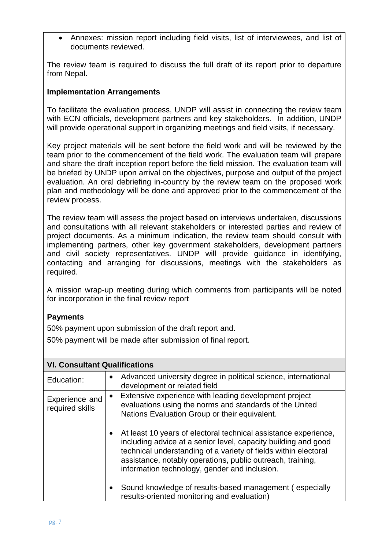• Annexes: mission report including field visits, list of interviewees, and list of documents reviewed.

The review team is required to discuss the full draft of its report prior to departure from Nepal.

## **Implementation Arrangements**

To facilitate the evaluation process, UNDP will assist in connecting the review team with ECN officials, development partners and key stakeholders. In addition, UNDP will provide operational support in organizing meetings and field visits, if necessary.

Key project materials will be sent before the field work and will be reviewed by the team prior to the commencement of the field work. The evaluation team will prepare and share the draft inception report before the field mission. The evaluation team will be briefed by UNDP upon arrival on the objectives, purpose and output of the project evaluation. An oral debriefing in-country by the review team on the proposed work plan and methodology will be done and approved prior to the commencement of the review process.

The review team will assess the project based on interviews undertaken, discussions and consultations with all relevant stakeholders or interested parties and review of project documents. As a minimum indication, the review team should consult with implementing partners, other key government stakeholders, development partners and civil society representatives. UNDP will provide guidance in identifying, contacting and arranging for discussions, meetings with the stakeholders as required.

A mission wrap-up meeting during which comments from participants will be noted for incorporation in the final review report

# **Payments**

50% payment upon submission of the draft report and.

50% payment will be made after submission of final report.

| <b>VI. Consultant Qualifications</b> |                                                                                                                                                                                                                                                                                                                     |  |
|--------------------------------------|---------------------------------------------------------------------------------------------------------------------------------------------------------------------------------------------------------------------------------------------------------------------------------------------------------------------|--|
| Education:                           | Advanced university degree in political science, international<br>$\bullet$<br>development or related field                                                                                                                                                                                                         |  |
| Experience and<br>required skills    | Extensive experience with leading development project<br>$\bullet$<br>evaluations using the norms and standards of the United<br>Nations Evaluation Group or their equivalent.                                                                                                                                      |  |
|                                      | At least 10 years of electoral technical assistance experience,<br>including advice at a senior level, capacity building and good<br>technical understanding of a variety of fields within electoral<br>assistance, notably operations, public outreach, training,<br>information technology, gender and inclusion. |  |
|                                      | Sound knowledge of results-based management (especially<br>results-oriented monitoring and evaluation)                                                                                                                                                                                                              |  |